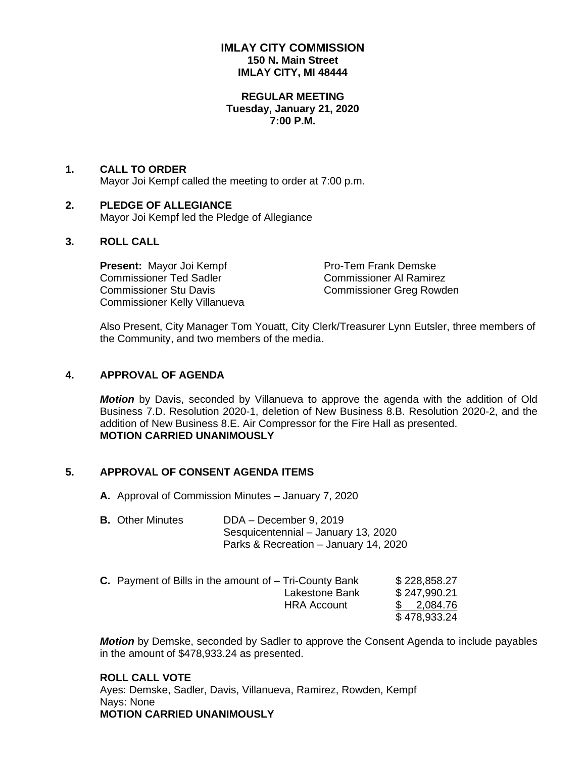## **IMLAY CITY COMMISSION 150 N. Main Street IMLAY CITY, MI 48444**

#### **REGULAR MEETING Tuesday, January 21, 2020 7:00 P.M.**

## **1. CALL TO ORDER** Mayor Joi Kempf called the meeting to order at 7:00 p.m.

### **2. PLEDGE OF ALLEGIANCE** Mayor Joi Kempf led the Pledge of Allegiance

# **3. ROLL CALL**

**Present:** Mayor Joi Kempf Pro-Tem Frank Demske Commissioner Ted Sadler Commissioner Al Ramirez Commissioner Stu Davis Commissioner Greg Rowden Commissioner Kelly Villanueva

Also Present, City Manager Tom Youatt, City Clerk/Treasurer Lynn Eutsler, three members of the Community, and two members of the media.

## **4. APPROVAL OF AGENDA**

*Motion* by Davis, seconded by Villanueva to approve the agenda with the addition of Old Business 7.D. Resolution 2020-1, deletion of New Business 8.B. Resolution 2020-2, and the addition of New Business 8.E. Air Compressor for the Fire Hall as presented. **MOTION CARRIED UNANIMOUSLY**

## **5. APPROVAL OF CONSENT AGENDA ITEMS**

**A.** Approval of Commission Minutes – January 7, 2020

**B.** Other Minutes DDA – December 9, 2019 Sesquicentennial – January 13, 2020 Parks & Recreation – January 14, 2020

| <b>C.</b> Payment of Bills in the amount of $-$ Tri-County Bank |                    | \$228,858.27 |
|-----------------------------------------------------------------|--------------------|--------------|
|                                                                 | Lakestone Bank     | \$247,990.21 |
|                                                                 | <b>HRA Account</b> | \$ 2,084.76  |
|                                                                 |                    | \$478,933.24 |

*Motion* by Demske, seconded by Sadler to approve the Consent Agenda to include payables in the amount of \$478,933.24 as presented.

**ROLL CALL VOTE** Ayes: Demske, Sadler, Davis, Villanueva, Ramirez, Rowden, Kempf Nays: None **MOTION CARRIED UNANIMOUSLY**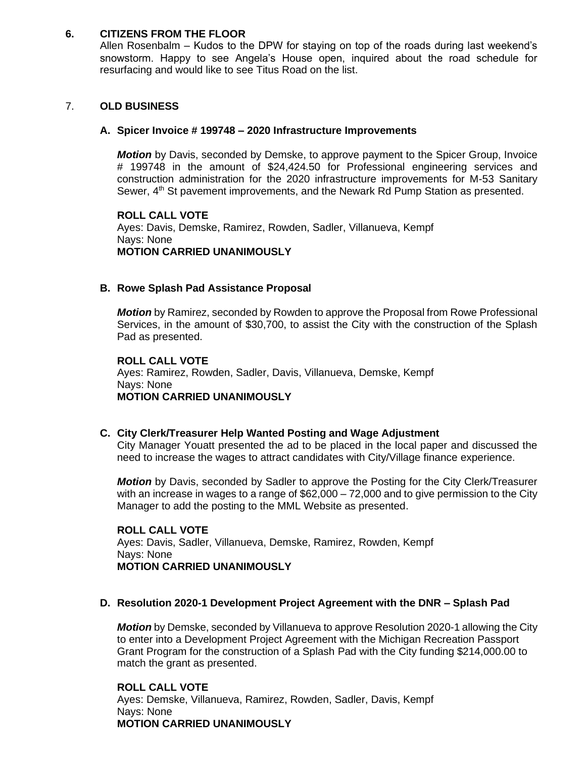## **6. CITIZENS FROM THE FLOOR**

Allen Rosenbalm – Kudos to the DPW for staying on top of the roads during last weekend's snowstorm. Happy to see Angela's House open, inquired about the road schedule for resurfacing and would like to see Titus Road on the list.

### 7. **OLD BUSINESS**

#### **A. Spicer Invoice # 199748 – 2020 Infrastructure Improvements**

*Motion* by Davis, seconded by Demske, to approve payment to the Spicer Group, Invoice # 199748 in the amount of \$24,424.50 for Professional engineering services and construction administration for the 2020 infrastructure improvements for M-53 Sanitary Sewer, 4<sup>th</sup> St pavement improvements, and the Newark Rd Pump Station as presented.

#### **ROLL CALL VOTE** Ayes: Davis, Demske, Ramirez, Rowden, Sadler, Villanueva, Kempf Nays: None **MOTION CARRIED UNANIMOUSLY**

#### **B. Rowe Splash Pad Assistance Proposal**

*Motion* by Ramirez, seconded by Rowden to approve the Proposal from Rowe Professional Services, in the amount of \$30,700, to assist the City with the construction of the Splash Pad as presented.

### **ROLL CALL VOTE** Ayes: Ramirez, Rowden, Sadler, Davis, Villanueva, Demske, Kempf Nays: None **MOTION CARRIED UNANIMOUSLY**

#### **C. City Clerk/Treasurer Help Wanted Posting and Wage Adjustment**

City Manager Youatt presented the ad to be placed in the local paper and discussed the need to increase the wages to attract candidates with City/Village finance experience.

*Motion* by Davis, seconded by Sadler to approve the Posting for the City Clerk/Treasurer with an increase in wages to a range of  $$62,000 - 72,000$  and to give permission to the City Manager to add the posting to the MML Website as presented.

**ROLL CALL VOTE** Ayes: Davis, Sadler, Villanueva, Demske, Ramirez, Rowden, Kempf Nays: None **MOTION CARRIED UNANIMOUSLY**

#### **D. Resolution 2020-1 Development Project Agreement with the DNR – Splash Pad**

*Motion* by Demske, seconded by Villanueva to approve Resolution 2020-1 allowing the City to enter into a Development Project Agreement with the Michigan Recreation Passport Grant Program for the construction of a Splash Pad with the City funding \$214,000.00 to match the grant as presented.

**ROLL CALL VOTE** Ayes: Demske, Villanueva, Ramirez, Rowden, Sadler, Davis, Kempf Nays: None **MOTION CARRIED UNANIMOUSLY**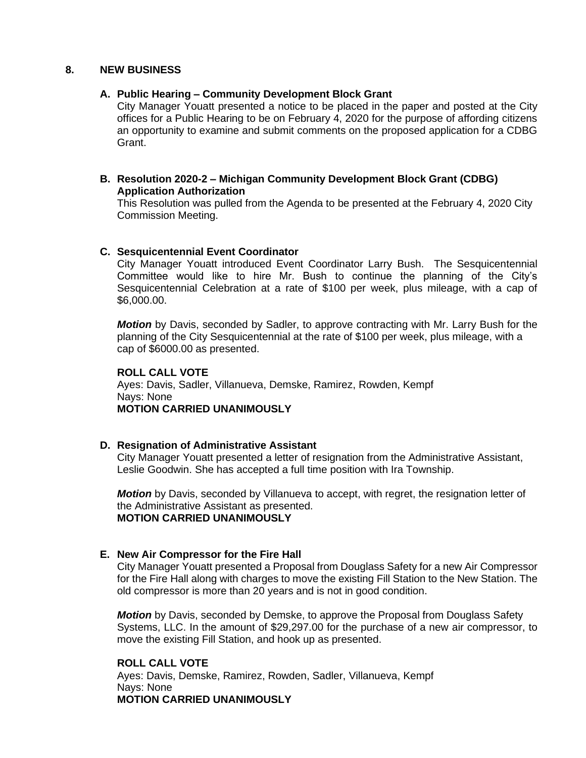## **8. NEW BUSINESS**

## **A. Public Hearing – Community Development Block Grant**

City Manager Youatt presented a notice to be placed in the paper and posted at the City offices for a Public Hearing to be on February 4, 2020 for the purpose of affording citizens an opportunity to examine and submit comments on the proposed application for a CDBG Grant.

## **B. Resolution 2020-2 – Michigan Community Development Block Grant (CDBG) Application Authorization**

This Resolution was pulled from the Agenda to be presented at the February 4, 2020 City Commission Meeting.

## **C. Sesquicentennial Event Coordinator**

City Manager Youatt introduced Event Coordinator Larry Bush. The Sesquicentennial Committee would like to hire Mr. Bush to continue the planning of the City's Sesquicentennial Celebration at a rate of \$100 per week, plus mileage, with a cap of \$6,000.00.

*Motion* by Davis, seconded by Sadler, to approve contracting with Mr. Larry Bush for the planning of the City Sesquicentennial at the rate of \$100 per week, plus mileage, with a cap of \$6000.00 as presented.

## **ROLL CALL VOTE**

Ayes: Davis, Sadler, Villanueva, Demske, Ramirez, Rowden, Kempf Nays: None **MOTION CARRIED UNANIMOUSLY**

## **D. Resignation of Administrative Assistant**

City Manager Youatt presented a letter of resignation from the Administrative Assistant, Leslie Goodwin. She has accepted a full time position with Ira Township.

*Motion* by Davis, seconded by Villanueva to accept, with regret, the resignation letter of the Administrative Assistant as presented. **MOTION CARRIED UNANIMOUSLY**

## **E. New Air Compressor for the Fire Hall**

City Manager Youatt presented a Proposal from Douglass Safety for a new Air Compressor for the Fire Hall along with charges to move the existing Fill Station to the New Station. The old compressor is more than 20 years and is not in good condition.

*Motion* by Davis, seconded by Demske, to approve the Proposal from Douglass Safety Systems, LLC. In the amount of \$29,297.00 for the purchase of a new air compressor, to move the existing Fill Station, and hook up as presented.

**ROLL CALL VOTE** Ayes: Davis, Demske, Ramirez, Rowden, Sadler, Villanueva, Kempf Nays: None **MOTION CARRIED UNANIMOUSLY**